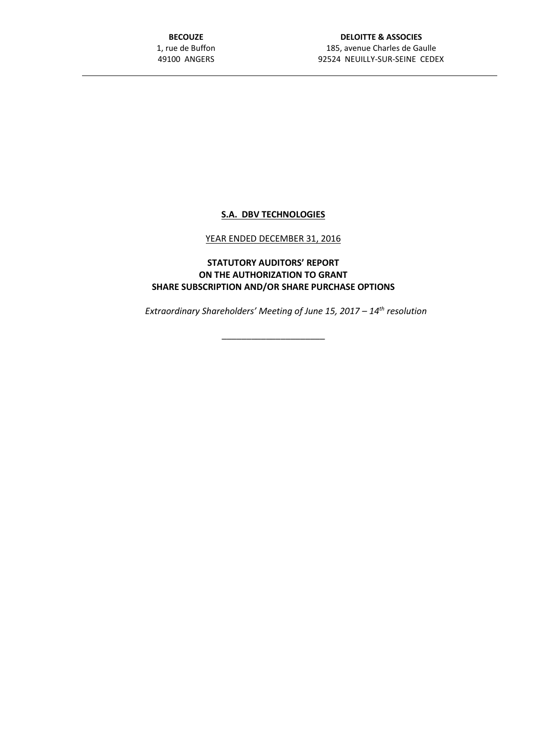**BECOUZE** 1, rue de Buffon 49100 ANGERS

## **S.A. DBV TECHNOLOGIES**

## YEAR ENDED DECEMBER 31, 2016

**STATUTORY AUDITORS' REPORT ON THE AUTHORIZATION TO GRANT SHARE SUBSCRIPTION AND/OR SHARE PURCHASE OPTIONS**

*Extraordinary Shareholders' Meeting of June 15, 2017 – 14th resolution*

\_\_\_\_\_\_\_\_\_\_\_\_\_\_\_\_\_\_\_\_\_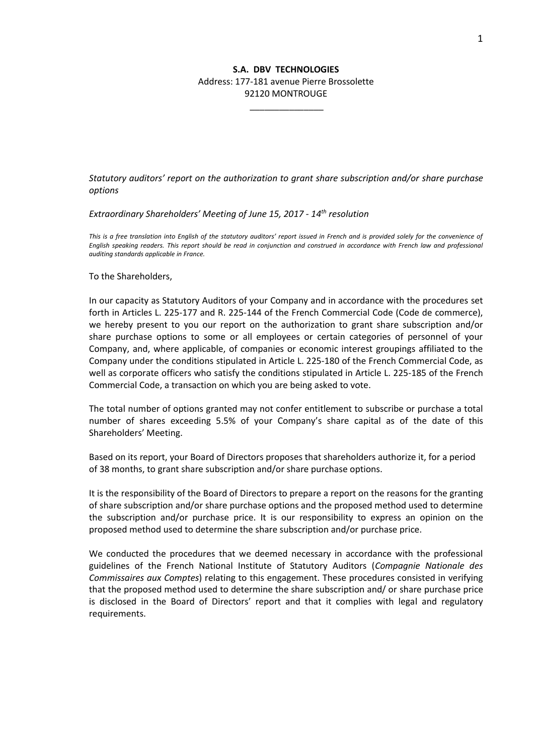## **S.A. DBV TECHNOLOGIES** Address: 177-181 avenue Pierre Brossolette 92120 MONTROUGE

\_\_\_\_\_\_\_\_\_\_\_\_\_\_\_

*Statutory auditors' report on the authorization to grant share subscription and/or share purchase options*

*Extraordinary Shareholders' Meeting of June 15, 2017 - 14th resolution*

*This is a free translation into English of the statutory auditors' report issued in French and is provided solely for the convenience of English speaking readers. This report should be read in conjunction and construed in accordance with French law and professional auditing standards applicable in France.*

To the Shareholders,

In our capacity as Statutory Auditors of your Company and in accordance with the procedures set forth in Articles L. 225-177 and R. 225-144 of the French Commercial Code (Code de commerce), we hereby present to you our report on the authorization to grant share subscription and/or share purchase options to some or all employees or certain categories of personnel of your Company, and, where applicable, of companies or economic interest groupings affiliated to the Company under the conditions stipulated in Article L. 225-180 of the French Commercial Code, as well as corporate officers who satisfy the conditions stipulated in Article L. 225-185 of the French Commercial Code, a transaction on which you are being asked to vote.

The total number of options granted may not confer entitlement to subscribe or purchase a total number of shares exceeding 5.5% of your Company's share capital as of the date of this Shareholders' Meeting.

Based on its report, your Board of Directors proposes that shareholders authorize it, for a period of 38 months, to grant share subscription and/or share purchase options.

It is the responsibility of the Board of Directors to prepare a report on the reasons for the granting of share subscription and/or share purchase options and the proposed method used to determine the subscription and/or purchase price. It is our responsibility to express an opinion on the proposed method used to determine the share subscription and/or purchase price.

We conducted the procedures that we deemed necessary in accordance with the professional guidelines of the French National Institute of Statutory Auditors (*Compagnie Nationale des Commissaires aux Comptes*) relating to this engagement. These procedures consisted in verifying that the proposed method used to determine the share subscription and/ or share purchase price is disclosed in the Board of Directors' report and that it complies with legal and regulatory requirements.